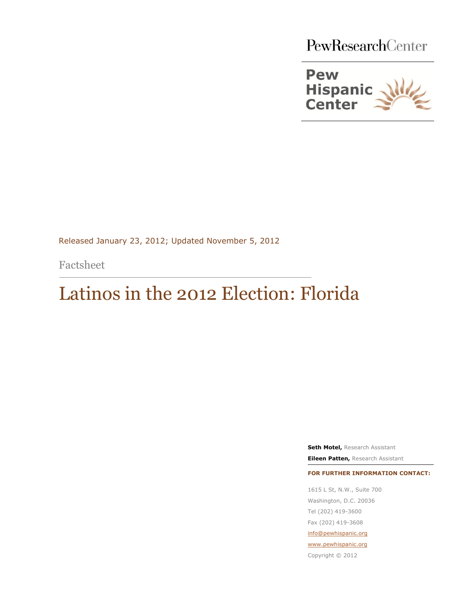PewResearchCenter



Released January 23, 2012; Updated November 5, 2012

Factsheet

j

# Latinos in the 2012 Election: Florida

**Seth Motel,** Research Assistant **Eileen Patten,** Research Assistant

**FOR FURTHER INFORMATION CONTACT:**

1615 L St, N.W., Suite 700 Washington, D.C. 20036 Tel (202) 419-3600 Fax (202) 419-3608 [info@pewhispanic.org](file://PewResearch.net/Shared/Hispanic/RESEARCH%20PROJECTS/Country%20of%20Origin%20Factsheets/2010%20ACS/Peruvian%20Factsheet/info@pewhispanic.org)

[www.pewhispanic.org](http://www.pewhispanic.org/)

Copyright © 2012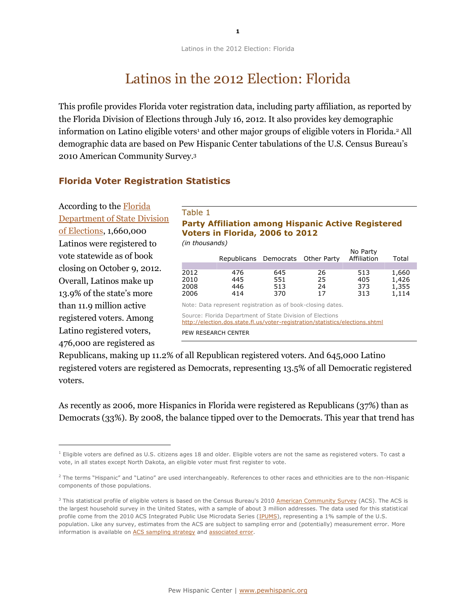Latinos in the 2012 Election: Florida

# Latinos in the 2012 Election: Florida

This profile provides Florida voter registration data, including party affiliation, as reported by the Florida Division of Elections through July 16, 2012. It also provides key demographic information on Latino eligible voters<sup>1</sup> and other major groups of eligible voters in Florida.<sup>2</sup> All demographic data are based on Pew Hispanic Center tabulations of the U.S. Census Bureau's 2010 American Community Survey.<sup>3</sup>

## **Florida Voter Registration Statistics**

According to the [Florida](http://election.dos.state.fl.us/voter-registration/statistics/elections.shtml) [Department of State](http://election.dos.state.fl.us/voter-registration/statistics/elections.shtml) Division [of Elections,](http://election.dos.state.fl.us/voter-registration/statistics/elections.shtml) 1,660,000 Latinos were registered to vote statewide as of book closing on October 9, 2012. Overall, Latinos make up 13.9% of the state's more than 11.9 million active registered voters. Among Latino registered voters, 476,000 are registered as

 $\overline{a}$ 

#### Table 1

# **Party Affiliation among Hispanic Active Registered Voters in Florida, 2006 to 2012**

*(in thousands)*

|      | Republicans Democrats Other Party |     |    | No Party<br>Affiliation | Total |
|------|-----------------------------------|-----|----|-------------------------|-------|
|      |                                   |     |    |                         |       |
| 2012 | 476                               | 645 | 26 | 513                     | 1,660 |
| 2010 | 445                               | 551 | 25 | 405                     | 1,426 |
| 2008 | 446                               | 513 | 24 | 373                     | 1,355 |
| 2006 | 414                               | 370 | 17 | 313                     | 1,114 |
|      |                                   |     |    |                         |       |

Note: Data represent registration as of book-closing dates.

Source: Florida Department of State Division of Elections

<http://election.dos.state.fl.us/voter-registration/statistics/elections.shtml>

PEW RESEARCH CENTER

Republicans, making up 11.2% of all Republican registered voters. And 645,000 Latino registered voters are registered as Democrats, representing 13.5% of all Democratic registered voters.

As recently as 2006, more Hispanics in Florida were registered as Republicans (37%) than as Democrats (33%). By 2008, the balance tipped over to the Democrats. This year that trend has

 $1$  Eligible voters are defined as U.S. citizens ages 18 and older. Eligible voters are not the same as registered voters. To cast a vote, in all states except North Dakota, an eligible voter must first register to vote.

<sup>&</sup>lt;sup>2</sup> The terms "Hispanic" and "Latino" are used interchangeably. References to other races and ethnicities are to the non-Hispanic components of those populations.

<sup>&</sup>lt;sup>3</sup> This statistical profile of eligible voters is based on the Census Bureau's 2010 [American Community Survey](http://www.census.gov/acs/www) (ACS). The ACS is the largest household survey in the United States, with a sample of about 3 million addresses. The data used for this statistical profile come from the 2010 ACS Integrated Public Use Microdata Series [\(IPUMS\)](http://usa.ipums.org/usa/), representing a 1% sample of the U.S. population. Like any survey, estimates from the ACS are subject to sampling error and (potentially) measurement error. More information is available on [ACS sampling strategy](http://usa.ipums.org/usa/design.shtml) and [associated error.](http://www.census.gov/acs/www/Downloads/data_documentation/pums/Accuracy/2010AccuracyPUMS.pdf)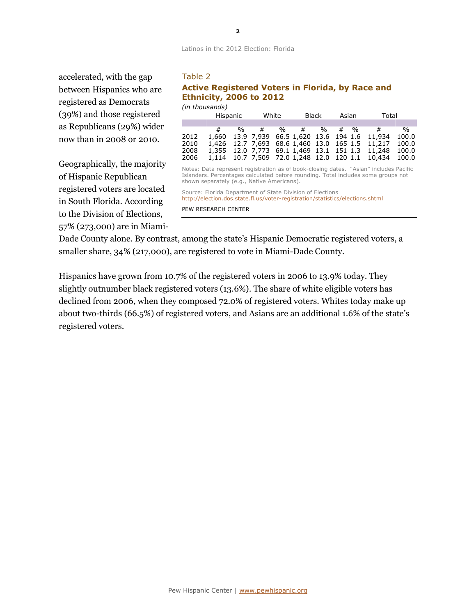#### Latinos in the 2012 Election: Florida

accelerated, with the gap between Hispanics who are registered as Democrats (39%) and those registered as Republicans (29%) wider now than in 2008 or 2010.

Geographically, the majority of Hispanic Republican registered voters are located in South Florida. According to the Division of Elections, 57% (273,000) are in Miami-

### Table 2

#### **Active Registered Voters in Florida, by Race and Ethnicity, 2006 to 2012** *(in thousands)*

| uu uluusanus) |          |               |       |               |   |               |       |        |                                                 |               |
|---------------|----------|---------------|-------|---------------|---|---------------|-------|--------|-------------------------------------------------|---------------|
|               | Hispanic |               | White |               |   | Black         | Asian |        | Total                                           |               |
|               |          |               |       |               |   |               |       |        |                                                 |               |
|               | 艹        | $\frac{1}{2}$ | #     | $\frac{0}{0}$ | # | $\frac{1}{2}$ |       | $\#$ % | #                                               | $\frac{0}{0}$ |
| 2012          |          |               |       |               |   |               |       |        | 1,660 13.9 7,939 66.5 1,620 13.6 194 1.6 11,934 | 100.0         |
| 2010          |          |               |       |               |   |               |       |        | 1,426 12.7 7,693 68.6 1,460 13.0 165 1.5 11,217 | 100.0         |
| 2008          |          |               |       |               |   |               |       |        | 1,355 12.0 7,773 69.1 1,469 13.1 151 1.3 11,248 | 100.0         |
| 2006          |          |               |       |               |   |               |       |        | 1,114 10.7 7,509 72.0 1,248 12.0 120 1.1 10,434 | 100.0         |

Notes: Data represent registration as of book-closing dates. "Asian" includes Pacific Islanders. Percentages calculated before rounding. Total includes some groups not shown separately (e.g., Native Americans).

Source: Florida Department of State Division of Elections <http://election.dos.state.fl.us/voter-registration/statistics/elections.shtml> PEW RESEARCH CENTER

Dade County alone. By contrast, among the state's Hispanic Democratic registered voters, a smaller share, 34% (217,000), are registered to vote in Miami-Dade County.

Hispanics have grown from 10.7% of the registered voters in 2006 to 13.9% today. They slightly outnumber black registered voters (13.6%). The share of white eligible voters has declined from 2006, when they composed 72.0% of registered voters. Whites today make up about two-thirds (66.5%) of registered voters, and Asians are an additional 1.6% of the state's registered voters.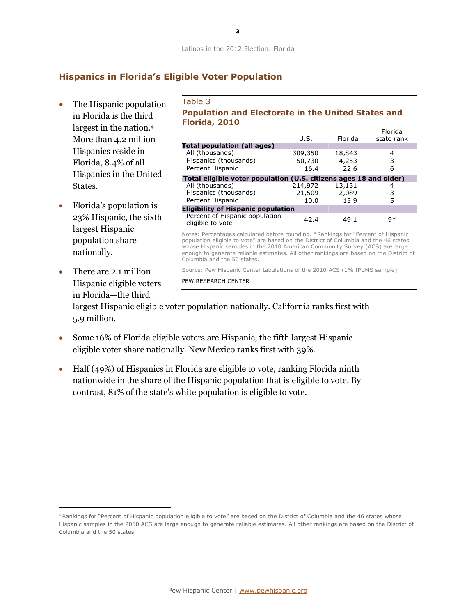# **Hispanics in Florida's Eligible Voter Population**

- The Hispanic population in Florida is the third largest in the nation.<sup>4</sup> More than 4.2 million Hispanics reside in Florida, 8.4% of all Hispanics in the United States.
- Florida's population is 23% Hispanic, the sixth largest Hispanic population share nationally.
- There are 2.1 million Hispanic eligible voters in Florida—the third

1

Table 3 **Population and Electorate in the United States and Florida, 2010** Florida

|                                                                   | U.S.    | Florida | Florida<br>state rank |  |  |  |  |  |
|-------------------------------------------------------------------|---------|---------|-----------------------|--|--|--|--|--|
| <b>Total population (all ages)</b>                                |         |         |                       |  |  |  |  |  |
| All (thousands)                                                   | 309,350 | 18,843  | 4                     |  |  |  |  |  |
| Hispanics (thousands)                                             | 50,730  | 4,253   | 3                     |  |  |  |  |  |
| Percent Hispanic                                                  | 16.4    | 22.6    | 6                     |  |  |  |  |  |
| Total eligible voter population (U.S. citizens ages 18 and older) |         |         |                       |  |  |  |  |  |
| All (thousands)                                                   | 214,972 | 13,131  |                       |  |  |  |  |  |
| Hispanics (thousands)                                             | 21,509  | 2,089   | 3                     |  |  |  |  |  |
| Percent Hispanic                                                  | 10.0    | 15.9    | 5                     |  |  |  |  |  |
| <b>Eligibility of Hispanic population</b>                         |         |         |                       |  |  |  |  |  |
| Percent of Hispanic population<br>eligible to vote                | 42.4    | 49.1    | 9*                    |  |  |  |  |  |

Notes: Percentages calculated before rounding. \*Rankings for "Percent of Hispanic population eligible to vote" are based on the District of Columbia and the 46 states whose Hispanic samples in the 2010 American Community Survey (ACS) are large enough to generate reliable estimates. All other rankings are based on the District of Columbia and the 50 states.

Source: Pew Hispanic Center tabulations of the 2010 ACS (1% IPUMS sample)

PEW RESEARCH CENTER

largest Hispanic eligible voter population nationally. California ranks first with 5.9 million.

- Some 16% of Florida eligible voters are Hispanic, the fifth largest Hispanic eligible voter share nationally. New Mexico ranks first with 39%.
- Half (49%) of Hispanics in Florida are eligible to vote, ranking Florida ninth nationwide in the share of the Hispanic population that is eligible to vote. By contrast, 81% of the state's white population is eligible to vote.

<sup>4</sup> Rankings for "Percent of Hispanic population eligible to vote" are based on the District of Columbia and the 46 states whose Hispanic samples in the 2010 ACS are large enough to generate reliable estimates. All other rankings are based on the District of Columbia and the 50 states.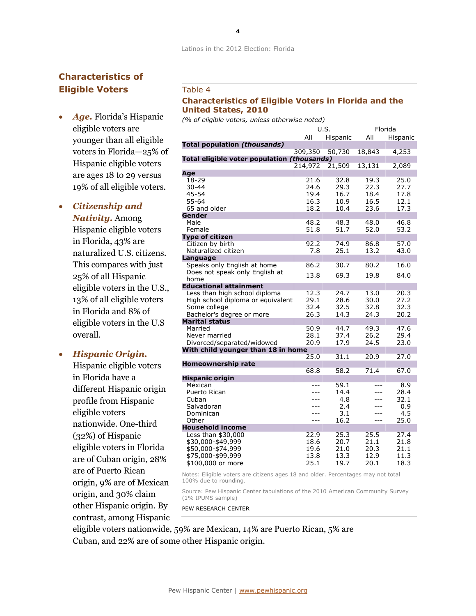# **Characteristics of Eligible Voters**

 *Age.* Florida's Hispanic eligible voters are younger than all eligible voters in Florida—25% of Hispanic eligible voters are ages 18 to 29 versus 19% of all eligible voters.

# *Citizenship and*

*Nativity.* Among Hispanic eligible voters in Florida, 43% are naturalized U.S. citizens. This compares with just 25% of all Hispanic eligible voters in the U.S., 13% of all eligible voters in Florida and 8% of eligible voters in the U.S overall.

### *Hispanic Origin.*

Hispanic eligible voters in Florida have a different Hispanic origin profile from Hispanic eligible voters nationwide. One-third (32%) of Hispanic eligible voters in Florida are of Cuban origin, 28% are of Puerto Rican origin, 9% are of Mexican origin, and 30% claim other Hispanic origin. By contrast, among Hispanic

### Table 4

### **Characteristics of Eligible Voters in Florida and the United States, 2010**

*(% of eligible voters, unless otherwise noted)*

|                                             |         | U.S.     |        | Florida  |  |
|---------------------------------------------|---------|----------|--------|----------|--|
|                                             | All     | Hispanic | All    | Hispanic |  |
| <b>Total population (thousands)</b>         |         |          |        |          |  |
|                                             | 309,350 | 50,730   | 18,843 | 4,253    |  |
| Total eligible voter population (thousands) |         |          |        |          |  |
|                                             | 214,972 | 21,509   | 13,131 | 2,089    |  |
| Age                                         |         |          |        |          |  |
| 18-29                                       | 21.6    | 32.8     | 19.3   | 25.0     |  |
| 30-44                                       | 24.6    | 29.3     | 22.3   | 27.7     |  |
| 45-54                                       | 19.4    | 16.7     | 18.4   | 17.8     |  |
| 55-64                                       | 16.3    | 10.9     | 16.5   | 12.1     |  |
| 65 and older                                | 18.2    | 10.4     | 23.6   | 17.3     |  |
| Gender                                      |         |          |        |          |  |
| Male                                        | 48.2    | 48.3     | 48.0   | 46.8     |  |
| Female                                      | 51.8    | 51.7     | 52.0   | 53.2     |  |
| <b>Type of citizen</b>                      |         |          |        |          |  |
| Citizen by birth                            | 92.2    | 74.9     | 86.8   | 57.0     |  |
| Naturalized citizen                         | 7.8     | 25.1     | 13.2   | 43.0     |  |
| Language                                    |         |          |        |          |  |
| Speaks only English at home                 | 86.2    | 30.7     | 80.2   | 16.0     |  |
| Does not speak only English at<br>home      | 13.8    | 69.3     | 19.8   | 84.0     |  |
| <b>Educational attainment</b>               |         |          |        |          |  |
| Less than high school diploma               | 12.3    | 24.7     | 13.0   | 20.3     |  |
| High school diploma or equivalent           | 29.1    | 28.6     | 30.0   | 27.2     |  |
| Some college                                | 32.4    | 32.5     | 32.8   | 32.3     |  |
| Bachelor's degree or more                   | 26.3    | 14.3     | 24.3   | 20.2     |  |
| <b>Marital status</b>                       |         |          |        |          |  |
| Married                                     | 50.9    | 44.7     | 49.3   | 47.6     |  |
| Never married                               | 28.1    | 37.4     | 26.2   | 29.4     |  |
| Divorced/separated/widowed                  | 20.9    | 17.9     | 24.5   | 23.0     |  |
| With child younger than 18 in home          |         |          |        |          |  |
|                                             | 25.0    | 31.1     | 20.9   | 27.0     |  |
| Homeownership rate                          |         |          |        |          |  |
|                                             | 68.8    | 58.2     | 71.4   | 67.0     |  |
| <b>Hispanic origin</b>                      |         |          |        |          |  |
| Mexican                                     |         | 59.1     |        | 8.9      |  |
| Puerto Rican                                | ---     | 14.4     | ---    | 28.4     |  |
| Cuban                                       |         | 4.8      | ---    | 32.1     |  |
| Salvadoran                                  | ---     | 2.4      | ---    | 0.9      |  |
| Dominican                                   | $- - -$ | 3.1      | ---    | 4.5      |  |
| Other                                       | $---$   | 16.2     | ---    | 25.0     |  |
| <b>Household income</b>                     |         |          |        |          |  |
| Less than \$30,000                          | 22.9    | 25.3     | 25.5   | 27.4     |  |
| \$30,000-\$49,999                           | 18.6    | 20.7     | 21.1   | 21.8     |  |
| \$50,000-\$74,999                           | 19.6    | 21.0     | 20.3   | 21.1     |  |
| \$75,000-\$99,999                           | 13.8    | 13.3     | 12.9   | 11.3     |  |
| \$100,000 or more                           | 25.1    | 19.7     | 20.1   | 18.3     |  |

Notes: Eligible voters are citizens ages 18 and older. Percentages may not total 100% due to rounding.

Source: Pew Hispanic Center tabulations of the 2010 American Community Survey (1% IPUMS sample)

PEW RESEARCH CENTER

eligible voters nationwide, 59% are Mexican, 14% are Puerto Rican, 5% are Cuban, and 22% are of some other Hispanic origin.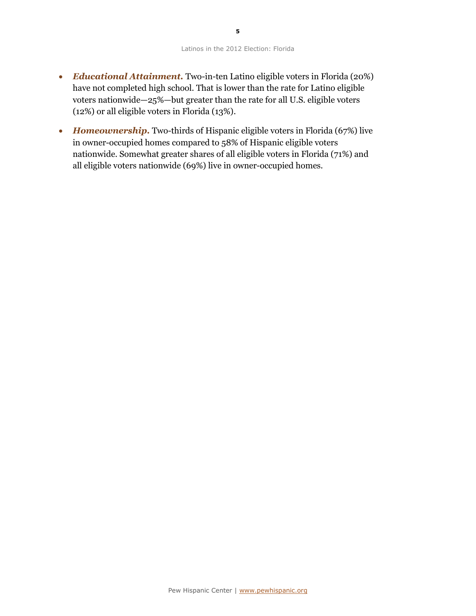- *Educational Attainment.* Two-in-ten Latino eligible voters in Florida (20%) have not completed high school. That is lower than the rate for Latino eligible voters nationwide—25%—but greater than the rate for all U.S. eligible voters (12%) or all eligible voters in Florida (13%).
- Homeownership. Two-thirds of Hispanic eligible voters in Florida (67%) live in owner-occupied homes compared to 58% of Hispanic eligible voters nationwide. Somewhat greater shares of all eligible voters in Florida (71%) and all eligible voters nationwide (69%) live in owner-occupied homes.